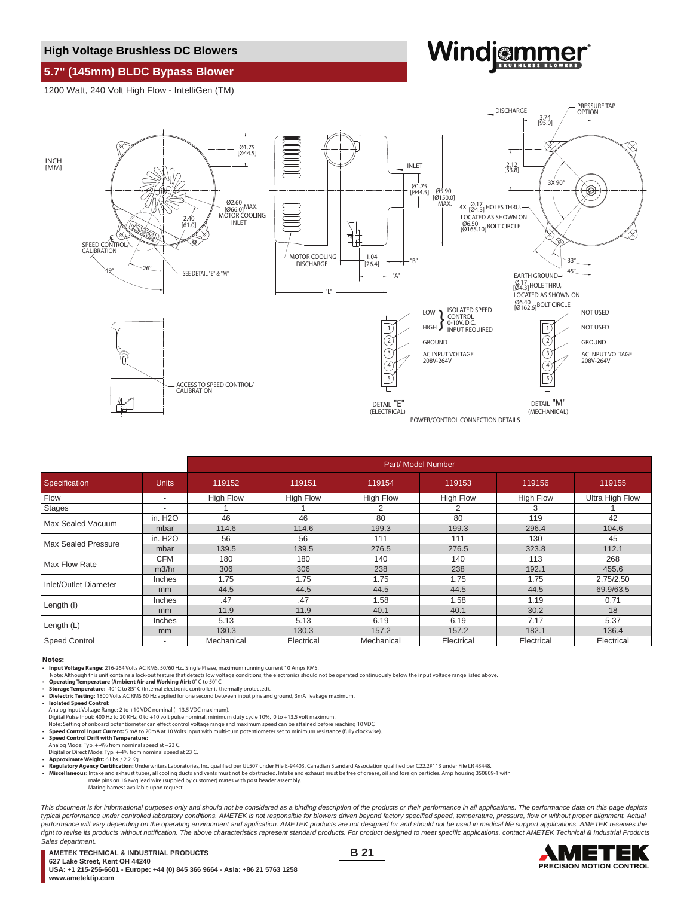### **High Voltage Brushless DC Blowers**

# **Windjammer**

**5.7" (145mm) BLDC Bypass Blower** 1200 Watt, 240 Volt High Flow - IntelliGen (TM)



|                       |                          | Part/ Model Number |                  |                  |                  |                  |                        |
|-----------------------|--------------------------|--------------------|------------------|------------------|------------------|------------------|------------------------|
| Specification         | <b>Units</b>             | 119152             | 119151           | 119154           | 119153           | 119156           | 119155                 |
| Flow                  | ۰                        | <b>High Flow</b>   | <b>High Flow</b> | <b>High Flow</b> | <b>High Flow</b> | <b>High Flow</b> | <b>Ultra High Flow</b> |
| Stages                | ٠                        |                    |                  |                  |                  | 3                |                        |
| Max Sealed Vacuum     | in. H <sub>2</sub> O     | 46                 | 46               | 80               | 80               | 119              | 42                     |
|                       | mbar                     | 114.6              | 114.6            | 199.3            | 199.3            | 296.4            | 104.6                  |
| Max Sealed Pressure   | in. H <sub>2</sub> O     | 56                 | 56               | 111              | 111              | 130              | 45                     |
|                       | mbar                     | 139.5              | 139.5            | 276.5            | 276.5            | 323.8            | 112.1                  |
| Max Flow Rate         | <b>CFM</b>               | 180                | 180              | 140              | 140              | 113              | 268                    |
|                       | m3/hr                    | 306                | 306              | 238              | 238              | 192.1            | 455.6                  |
| Inlet/Outlet Diameter | Inches                   | 1.75               | 1.75             | 1.75             | 1.75             | 1.75             | 2.75/2.50              |
|                       | mm                       | 44.5               | 44.5             | 44.5             | 44.5             | 44.5             | 69.9/63.5              |
| Length (I)            | Inches                   | .47                | .47              | 1.58             | 1.58             | 1.19             | 0.71                   |
|                       | mm                       | 11.9               | 11.9             | 40.1             | 40.1             | 30.2             | 18                     |
| Length $(L)$          | Inches                   | 5.13               | 5.13             | 6.19             | 6.19             | 7.17             | 5.37                   |
|                       | mm                       | 130.3              | 130.3            | 157.2            | 157.2            | 182.1            | 136.4                  |
| <b>Speed Control</b>  | $\overline{\phantom{a}}$ | Mechanical         | Electrical       | Mechanical       | Electrical       | Electrical       | Electrical             |

#### **Notes:**

• **Input Voltage Range:** 216-264 Volts AC RMS, 50/60 Hz., Single Phase, maximum running current 10 Amps RMS.

Note: Although this unit contains a lock-out feature that detects low voltage conditions, the electronics should not be operated continuously below the input voltage range listed above.<br>• Operating Temperature (Ambient Air

• **Storage Temperature:** -40˚ C to 85˚ C (Internal electronic controller is thermally protected).

• **Dielectric Testing:** 1800 Volts AC RMS 60 Hz applied for one second between input pins and ground, 3mA leakage maximum. • **Isolated Speed Control:**

Analog Input Voltage Range: 2 to +10 VDC nominal (+13.5 VDC maximum).<br>Digital Pulse Input: 400 Hz to 20 KHz, 0 to +10 volt pulse nominal, minimum duty cycle 10%, 0 to +13.5 volt maximum.<br>Note: Setting of onboard potentiome

- 
- 
- Digital or Direct Mode: Typ. +-4% from nominal speed at 23 C.

• **Approximate Weight:** 6 Lbs. / 2.2 Kg.

• **Regulatory Agency Certification:** Underwriters Laboratories, Inc. qualified per UL507 under File E-94403. Canadian Standard Association qualified per C22.2#113 under File LR 43448.<br>Microllanoqus: Intake and exhaust tube

• Miscellaneous: Intake and exhaust tubes, all cooling ducts and vents must not be obstructed. Intake and exhaust must be free of grease, oil and foreign particles. Amp housing 350809-1 with<br>male pins on 16 awg lead wire (

This document is for informational purposes only and should not be considered as a binding description of the products or their performance in all applications. The performance data on this page depicts typical performance under controlled laboratory conditions. AMETEK is not responsible for blowers driven beyond factory specified speed, temperature, pressure, flow or without proper alignment. Actual performance will vary depending on the operating environment and application. AMETEK products are not designed for and should not be used in medical life support applications. AMETEK reserves the right to revise its products without notification. The above characteristics represent standard products. For product designed to meet specific applications, contact AMETEK Technical & Industrial Products Sales department.

**AMETEK TECHNICAL & INDUSTRIAL PRODUCTS 627 Lake Street, Kent OH 44240** o∠*r* Lake Street, Nent On 44∠40<br>USA: +1 215-256-6601 - Europe: +44 (0) 845 366 9664 - Asia: +86 21 5763 1258<br>www.ametektip.com